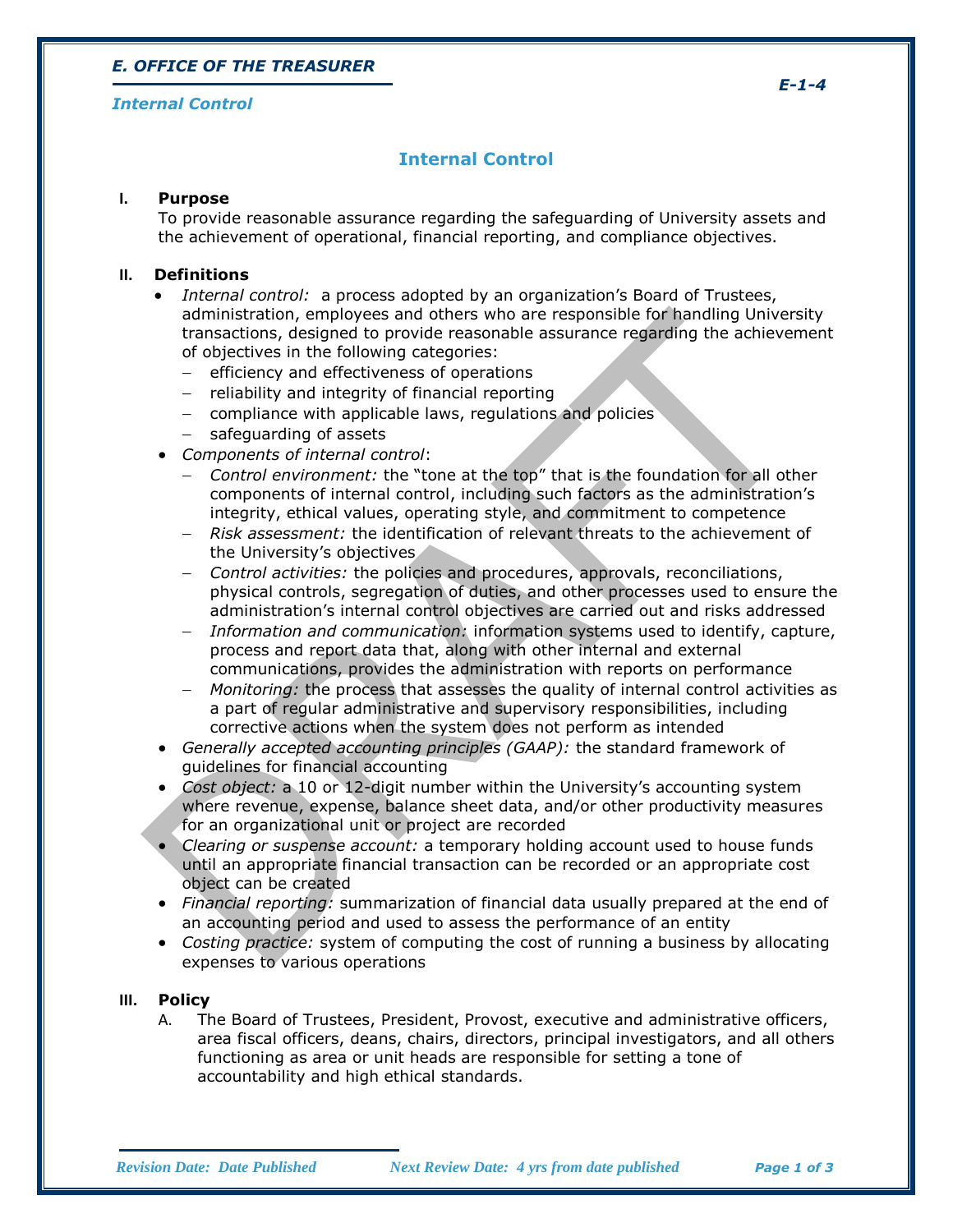# *E. OFFICE OF THE TREASURER*

#### *Internal Control*

# **Internal Control**

#### **I. Purpose**

To provide reasonable assurance regarding the safeguarding of University assets and the achievement of operational, financial reporting, and compliance objectives.

#### **II. Definitions**

- *Internal control:* a process adopted by an organization's Board of Trustees, administration, employees and others who are responsible for handling University transactions, designed to provide reasonable assurance regarding the achievement of objectives in the following categories:
	- $-$  efficiency and effectiveness of operations
	- $-$  reliability and integrity of financial reporting
	- compliance with applicable laws, regulations and policies
	- $-$  safeguarding of assets
- *Components of internal control*:
	- *Control environment:* the "tone at the top" that is the foundation for all other components of internal control, including such factors as the administration's integrity, ethical values, operating style, and commitment to competence
	- *Risk assessment:* the identification of relevant threats to the achievement of the University's objectives
	- *Control activities:* the policies and procedures, approvals, reconciliations, physical controls, segregation of duties, and other processes used to ensure the administration's internal control objectives are carried out and risks addressed
	- *Information and communication:* information systems used to identify, capture, process and report data that, along with other internal and external communications, provides the administration with reports on performance
	- *Monitoring:* the process that assesses the quality of internal control activities as a part of regular administrative and supervisory responsibilities, including corrective actions when the system does not perform as intended
- *Generally accepted accounting principles (GAAP):* the standard framework of guidelines for financial accounting
- *Cost object:* a 10 or 12-digit number within the University's accounting system where revenue, expense, balance sheet data, and/or other productivity measures for an organizational unit or project are recorded
- *Clearing or suspense account:* a temporary holding account used to house funds until an appropriate financial transaction can be recorded or an appropriate cost object can be created
- *Financial reporting:* summarization of financial data usually prepared at the end of an accounting period and used to assess the performance of an entity
- *Costing practice:* system of computing the cost of running a business by allocating expenses to various operations

#### **III. Policy**

A. The Board of Trustees, President, Provost, executive and administrative officers, area fiscal officers, deans, chairs, directors, principal investigators, and all others functioning as area or unit heads are responsible for setting a tone of accountability and high ethical standards.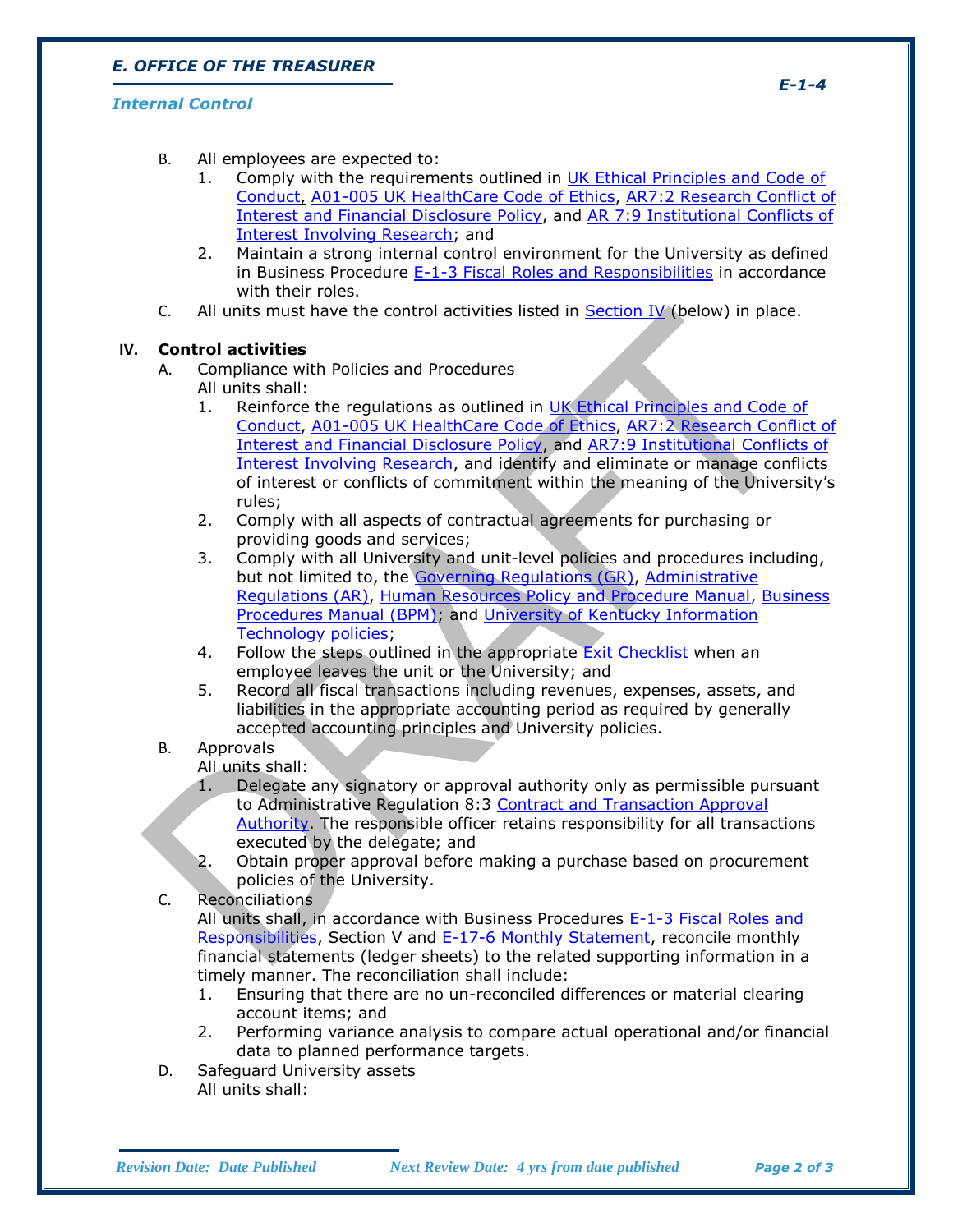# *E. OFFICE OF THE TREASURER*

### *Internal Control*

- B. All employees are expected to:
	- 1. Comply with the requirements outlined in UK Ethical Principles and Code of [Conduct,](http://www.uky.edu/Legal/ethicscode.htm) [A01-005 UK HealthCare Code of Ethics,](http://www.hosp.uky.edu/policies/viewpolicy.asp?PolicyManual=10&PolicyID=771) [AR7:2 Research Conflict of](http://www.uky.edu/Regs/files/ar/ar7-2.pdf)  [Interest and Financial Disclosure Policy,](http://www.uky.edu/Regs/files/ar/ar7-2.pdf) and [AR 7:9 Institutional Conflicts of](http://www.uky.edu/Regs/files/ar/ar7-9.pdf)  [Interest Involving Research;](http://www.uky.edu/Regs/files/ar/ar7-9.pdf) and
	- 2. Maintain a strong internal control environment for the University as defined in Business Procedure  $E-1-3$  Fiscal Roles and Responsibilities in accordance with their roles.
- C. All units must have the control activities listed in Section IV (below) in place.

### **IV. Control activities**

- A. Compliance with Policies and Procedures All units shall:
	- 1. Reinforce the regulations as outlined in UK Ethical Principles and Code of [Conduct,](http://www.uky.edu/Legal/ethicscode.htm) [A01-005 UK HealthCare Code of Ethics,](http://www.hosp.uky.edu/policies/viewpolicy.asp?PolicyManual=10&PolicyID=771) [AR7:2 Research Conflict of](http://www.uky.edu/Regs/files/ar/ar7-2.pdf)  [Interest and Financial Disclosure Policy,](http://www.uky.edu/Regs/files/ar/ar7-2.pdf) and [AR7:9 Institutional Conflicts of](http://www.uky.edu/Regs/files/ar/ar7-9.pdf)  [Interest Involving Research,](http://www.uky.edu/Regs/files/ar/ar7-9.pdf) and identify and eliminate or manage conflicts of interest or conflicts of commitment within the meaning of the University's rules;
	- 2. Comply with all aspects of contractual agreements for purchasing or providing goods and services;
	- 3. Comply with all University and unit-level policies and procedures including, but not limited to, the [Governing Regulations \(GR\),](http://www.uky.edu/regs/gr.htm) [Administrative](http://www.uky.edu/regs/ar.htm)  [Regulations \(AR\),](http://www.uky.edu/regs/ar.htm) [Human Resources Policy and Procedure Manual,](http://www.uky.edu/HR/policies/) [Business](http://www.uky.edu/EVPFA/Controller/BPM.htm)  [Procedures Manual \(BPM\);](http://www.uky.edu/EVPFA/Controller/BPM.htm) and [University of Kentucky Information](http://www.uky.edu/UKIT/policies.htm)  [Technology policies;](http://www.uky.edu/UKIT/policies.htm)
	- 4. Follow the steps outlined in the appropriate [Exit Checklist](http://www.uky.edu/HR/ExitHome.html) when an employee leaves the unit or the University; and
	- 5. Record all fiscal transactions including revenues, expenses, assets, and liabilities in the appropriate accounting period as required by generally accepted accounting principles and University policies.

## B. Approvals

All units shall:

- 1. Delegate any signatory or approval authority only as permissible pursuant to Administrative Regulation 8:3 Contract and Transaction Approval [Authority.](http://www.uky.edu/Regs/files/ar/ar8-3.pdf) The responsible officer retains responsibility for all transactions executed by the delegate; and
- 2. Obtain proper approval before making a purchase based on procurement policies of the University.
- C. Reconciliations

All units shall, in accordance with Business Procedures [E-1-3 Fiscal Roles and](http://www.uky.edu/EVPFA/Controller/files/BPM/E-1-3.pdf)  [Responsibilities,](http://www.uky.edu/EVPFA/Controller/files/BPM/E-1-3.pdf) Section V and [E-17-6 Monthly Statement,](http://www.uky.edu/EVPFA/Controller/files/BPM/E-17-6.pdf) reconcile monthly financial statements (ledger sheets) to the related supporting information in a timely manner. The reconciliation shall include:

- 1. Ensuring that there are no un-reconciled differences or material clearing account items; and
- 2. Performing variance analysis to compare actual operational and/or financial data to planned performance targets.
- D. Safeguard University assets All units shall:

*E-1-4*